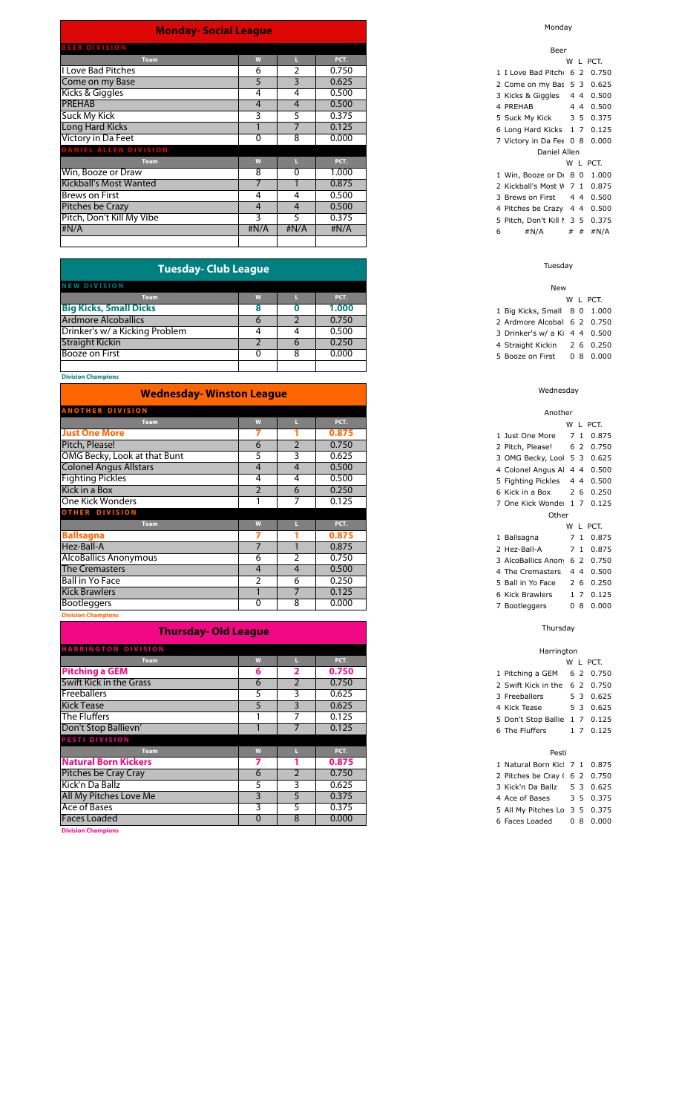#### **Monday- Social League**

| <b>BEER DIVISION</b>          |      |               |       |
|-------------------------------|------|---------------|-------|
| <b>Team</b>                   | W    |               | PCT.  |
| <b>I Love Bad Pitches</b>     | 6    | $\mathcal{P}$ | 0.750 |
| Come on my Base               | 5    | 3             | 0.625 |
| Kicks & Giggles               | 4    | 4             | 0.500 |
| <b>PREHAB</b>                 | 4    | 4             | 0.500 |
| <b>Suck My Kick</b>           | 3    | 5             | 0.375 |
| Long Hard Kicks               |      |               | 0.125 |
| Victory in Da Feet            | 0    | 8             | 0.000 |
| <b>DANIEL ALLEN DIVISION</b>  |      |               |       |
| <b>Team</b>                   | W    |               | PCT.  |
| Win, Booze or Draw            | 8    | 0             | 1.000 |
| <b>Kickball's Most Wanted</b> |      |               | 0.875 |
| Brews on First                | 4    | 4             | 0.500 |
| Pitches be Crazy              | 4    | 4             | 0.500 |
| Pitch, Don't Kill My Vibe     | 3    | 5             | 0.375 |
| #N/A                          | #N/A | #N/A          | #N/A  |
|                               |      |               |       |
|                               |      |               |       |

| <b>Tuesday- Club League</b>    |          |   |       |  |  |  |  |  |  |
|--------------------------------|----------|---|-------|--|--|--|--|--|--|
| <b>NEW DIVISION</b>            |          |   |       |  |  |  |  |  |  |
| <b>Team</b>                    |          |   | PCT.  |  |  |  |  |  |  |
| <b>Big Kicks, Small Dicks</b>  |          |   | 1.000 |  |  |  |  |  |  |
| <b>Ardmore Alcoballics</b>     | $\sigma$ |   | 0.750 |  |  |  |  |  |  |
| Drinker's w/ a Kicking Problem | 4        |   | 0.500 |  |  |  |  |  |  |
| <b>Straight Kickin</b>         |          | O | 0.250 |  |  |  |  |  |  |
| <b>Booze on First</b>          |          | 8 | 0.000 |  |  |  |  |  |  |
|                                |          |   |       |  |  |  |  |  |  |

#### **Division Champions**

| <b>Wednesday- Winston League</b> |                |                |       |  |  |  |  |  |
|----------------------------------|----------------|----------------|-------|--|--|--|--|--|
| <b>ANOTHER DIVISION</b>          |                |                |       |  |  |  |  |  |
| <b>Team</b>                      | W              |                | PCT.  |  |  |  |  |  |
| <b>Just One More</b>             |                |                | 0.875 |  |  |  |  |  |
| Pitch, Please!                   | 6              | $\overline{2}$ | 0.750 |  |  |  |  |  |
| OMG Becky, Look at that Bunt     | 5              | 3              | 0.625 |  |  |  |  |  |
| <b>Colonel Angus Allstars</b>    | 4              | $\overline{4}$ | 0.500 |  |  |  |  |  |
| <b>Fighting Pickles</b>          | 4              | 4              | 0.500 |  |  |  |  |  |
| Kick in a Box                    | $\overline{2}$ | 6              | 0.250 |  |  |  |  |  |
| One Kick Wonders                 |                | 7              | 0.125 |  |  |  |  |  |
| <b>OTHER DIVISION</b>            |                |                |       |  |  |  |  |  |
| <b>Team</b>                      | W              |                | PCT.  |  |  |  |  |  |
| <b>Ballsagna</b>                 |                |                | 0.875 |  |  |  |  |  |
| Hez-Ball-A                       |                |                | 0.875 |  |  |  |  |  |
| <b>AlcoBallics Anonymous</b>     | 6              | 2              | 0.750 |  |  |  |  |  |
| <b>The Cremasters</b>            | 4              | 4              | 0.500 |  |  |  |  |  |
| <b>Ball in Yo Face</b>           | $\overline{2}$ | 6              | 0.250 |  |  |  |  |  |
| <b>Kick Brawlers</b>             |                | 7              | 0.125 |  |  |  |  |  |
| <b>Bootleggers</b>               | $\Omega$       | 8              | 0.000 |  |  |  |  |  |

**Division Champions**

### **Thursday- Old League**

| <b>HARRINGTON DIVISION</b>     |              |    |       |
|--------------------------------|--------------|----|-------|
| <b>Team</b>                    | W            |    | PCT.  |
| <b>Pitching a GEM</b>          | 6            | 2  | 0.750 |
| <b>Swift Kick in the Grass</b> | 6            |    | 0.750 |
| <b>Freeballers</b>             | 5            | 3  | 0.625 |
| <b>Kick Tease</b>              | 5            | 3  | 0.625 |
| The Fluffers                   |              |    | 0.125 |
| Don't Stop Ballievn'           |              |    | 0.125 |
| PESTI DIVISION                 |              |    |       |
| <b>Team</b>                    | W            |    | PCT.  |
| <b>Natural Born Kickers</b>    |              |    | 0.875 |
| Pitches be Cray Cray           | 6            |    | 0.750 |
| Kick'n Da Ballz                | 5            | 3  | 0.625 |
| All My Pitches Love Me         | 3            | 5  | 0.375 |
| Ace of Bases                   | 3            | 5. | 0.375 |
| <b>Faces Loaded</b>            | $\mathbf{0}$ | 8  | 0.000 |
| <b>Division Champions</b>      |              |    |       |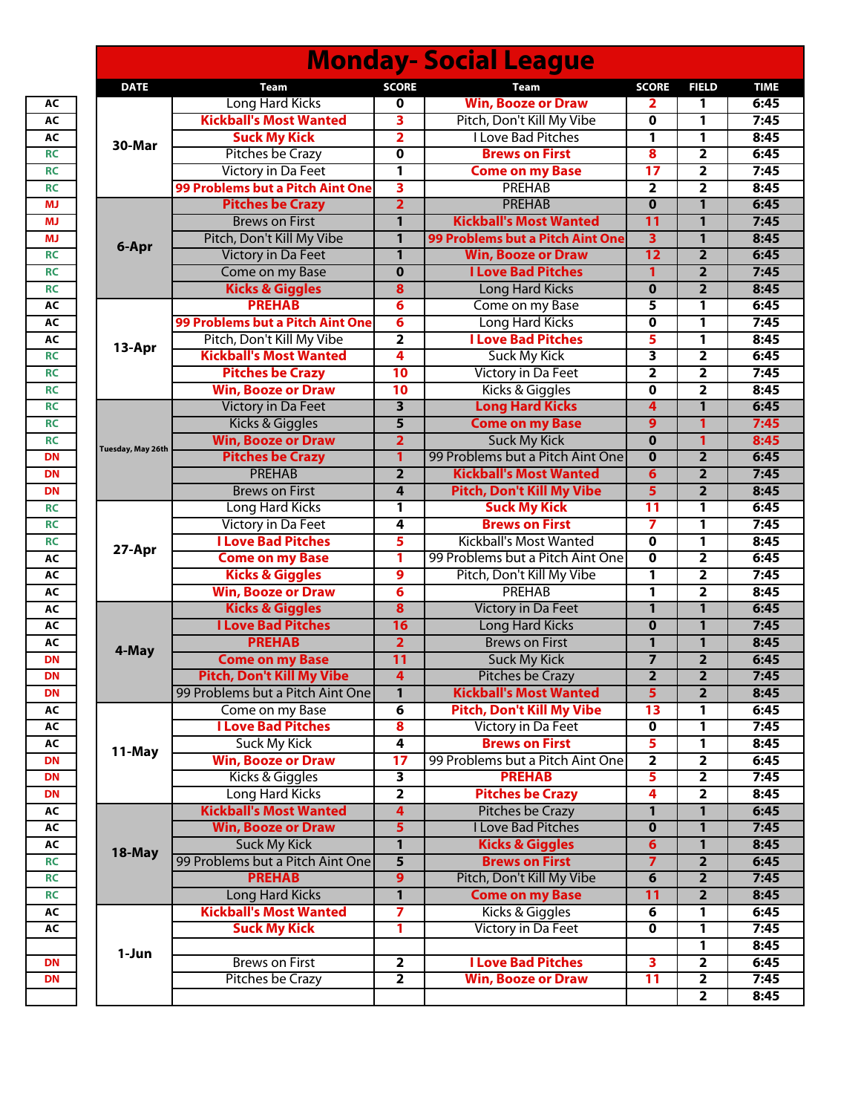|                   |                                  |                         | <b>Monday- Social League</b>     |                         |                         |             |
|-------------------|----------------------------------|-------------------------|----------------------------------|-------------------------|-------------------------|-------------|
| <b>DATE</b>       | Team                             | <b>SCORE</b>            | Team                             | <b>SCORE</b>            | <b>FIELD</b>            | <b>TIME</b> |
|                   | Long Hard Kicks                  | 0                       | <b>Win, Booze or Draw</b>        | 2                       | 1                       | 6:45        |
| 30-Mar            | <b>Kickball's Most Wanted</b>    | 3                       | Pitch, Don't Kill My Vibe        | 0                       | 1                       | 7:45        |
|                   | <b>Suck My Kick</b>              | 2                       | <b>I Love Bad Pitches</b>        | 1                       | 1                       | 8:45        |
|                   | Pitches be Crazy                 | 0                       | <b>Brews on First</b>            | 8                       | 2                       | 6:45        |
|                   | <b>Victory in Da Feet</b>        | 1                       | <b>Come on my Base</b>           | 17                      | $\overline{\mathbf{2}}$ | 7:45        |
|                   | 99 Problems but a Pitch Aint One | 3                       | PREHAB                           | $\overline{2}$          | $\overline{2}$          | 8:45        |
|                   | <b>Pitches be Crazy</b>          | $\overline{2}$          | <b>PREHAB</b>                    | $\bf{0}$                | 1                       | 6:45        |
| 6-Apr             | <b>Brews on First</b>            | $\mathbf{1}$            | <b>Kickball's Most Wanted</b>    | 11                      | $\mathbf{1}$            | 7:45        |
|                   | Pitch, Don't Kill My Vibe        | 1                       | 99 Problems but a Pitch Aint One | $\overline{\mathbf{3}}$ | 1                       | 8:45        |
|                   | Victory in Da Feet               | 1                       | <b>Win, Booze or Draw</b>        | 12                      | $\overline{2}$          | 6:45        |
|                   | Come on my Base                  | $\mathbf 0$             | <b>I Love Bad Pitches</b>        | 1                       | $\overline{2}$          | 7:45        |
|                   | <b>Kicks &amp; Giggles</b>       | 8                       | <b>Long Hard Kicks</b>           | $\bf{0}$                | $\overline{2}$          | 8:45        |
|                   | <b>PREHAB</b>                    | 6                       | Come on my Base                  | 5                       | 1                       | 6:45        |
|                   | 99 Problems but a Pitch Aint One | $\overline{\mathbf{6}}$ | Long Hard Kicks                  | 0                       | 1                       | 7:45        |
|                   | Pitch, Don't Kill My Vibe        | $\overline{\mathbf{2}}$ | <b>I Love Bad Pitches</b>        | 5                       | 1                       | 8:45        |
| 13-Apr            | <b>Kickball's Most Wanted</b>    | 4                       | <b>Suck My Kick</b>              | 3                       | $\overline{2}$          | 6:45        |
|                   | <b>Pitches be Crazy</b>          | 10                      | Victory in Da Feet               | $\mathbf{2}$            | $\overline{2}$          | 7:45        |
|                   | <b>Win, Booze or Draw</b>        | 10                      | Kicks & Giggles                  | 0                       | $\overline{2}$          | 8:45        |
|                   | <b>Victory in Da Feet</b>        | 3                       | <b>Long Hard Kicks</b>           | $\overline{\mathbf{4}}$ | 1                       | 6:45        |
|                   | Kicks & Giggles                  | 5                       | <b>Come on my Base</b>           | 9                       | 1                       | 7:45        |
|                   | <b>Win, Booze or Draw</b>        | $\overline{2}$          | <b>Suck My Kick</b>              | $\bf{0}$                | 1                       | 8:45        |
| Tuesday, May 26th | <b>Pitches be Crazy</b>          | 1                       | 99 Problems but a Pitch Aint One | $\mathbf 0$             | $\overline{2}$          | 6:45        |
|                   | <b>PREHAB</b>                    | $\overline{2}$          | <b>Kickball's Most Wanted</b>    | 6                       | $\overline{2}$          | 7:45        |
|                   | <b>Brews on First</b>            | 4                       | <b>Pitch, Don't Kill My Vibe</b> | $\overline{5}$          | $\overline{2}$          | 8:45        |
|                   | Long Hard Kicks                  | 1                       | <b>Suck My Kick</b>              | 11                      | 1                       | 6:45        |
|                   | <b>Victory in Da Feet</b>        | 4                       | <b>Brews on First</b>            | $\overline{\mathbf{7}}$ | 1                       | 7:45        |
|                   | <b>I Love Bad Pitches</b>        | 5                       | <b>Kickball's Most Wanted</b>    | $\mathbf 0$             | 1                       | 8:45        |
| 27-Apr            | <b>Come on my Base</b>           | 1                       | 99 Problems but a Pitch Aint One | 0                       | $\overline{2}$          | 6:45        |
|                   | <b>Kicks &amp; Giggles</b>       | 9                       | Pitch, Don't Kill My Vibe        | 1                       | 2                       | 7:45        |
|                   | <b>Win, Booze or Draw</b>        | $6\phantom{1}6$         | <b>PREHAB</b>                    | $\mathbf{1}$            | $\overline{\mathbf{2}}$ | 8:45        |
|                   | <b>Kicks &amp; Giggles</b>       | $\overline{\mathbf{8}}$ | <b>Victory in Da Feet</b>        | $\mathbf{1}$            | 1                       | 6:45        |
|                   | <b>I Love Bad Pitches</b>        | 16                      | <b>Long Hard Kicks</b>           | $\bf{0}$                | $\mathbf{1}$            | 7:45        |
|                   | <b>PREHAB</b>                    | $\overline{2}$          | <b>Brews on First</b>            | $\mathbf{1}$            | $\mathbf{1}$            | 8:45        |
| 4-May             | <b>Come on my Base</b>           | 11                      | <b>Suck My Kick</b>              |                         | $\overline{2}$          | 6:45        |
|                   | <b>Pitch, Don't Kill My Vibe</b> | 4                       | <b>Pitches be Crazy</b>          | $\mathbf{z}$            | $\mathbf{z}$            | 7:45        |
|                   | 99 Problems but a Pitch Aint One | $\mathbf{1}$            | <b>Kickball's Most Wanted</b>    | $\overline{5}$          | $\overline{2}$          | 8:45        |
|                   | Come on my Base                  | 6                       | <b>Pitch, Don't Kill My Vibe</b> | 13                      | 1                       | 6:45        |
|                   | <b>I Love Bad Pitches</b>        | $\overline{\mathbf{8}}$ | Victory in Da Feet               | $\mathbf 0$             | 1                       | 7:45        |
|                   | <b>Suck My Kick</b>              | 4                       | <b>Brews on First</b>            | 5                       | 1                       | 8:45        |
| 11-May            | <b>Win, Booze or Draw</b>        | $\overline{17}$         | 99 Problems but a Pitch Aint One | $\overline{\mathbf{2}}$ | $\overline{2}$          | 6:45        |
|                   | Kicks & Giggles                  | 3                       | <b>PREHAB</b>                    | 5                       | $\overline{2}$          | 7:45        |
|                   | Long Hard Kicks                  | $\overline{\mathbf{2}}$ | <b>Pitches be Crazy</b>          | 4                       | $\overline{2}$          | 8:45        |
|                   | <b>Kickball's Most Wanted</b>    | $\overline{\mathbf{4}}$ | Pitches be Crazy                 | 1                       | $\mathbf{1}$            | 6:45        |
| 18-May            | <b>Win, Booze or Draw</b>        | 5                       | <b>I Love Bad Pitches</b>        | $\mathbf 0$             | $\mathbf{1}$            | 7:45        |
|                   | <b>Suck My Kick</b>              | 1                       | <b>Kicks &amp; Giggles</b>       | 6                       | $\mathbf{1}$            | 8:45        |
|                   | 99 Problems but a Pitch Aint One | $\overline{\mathbf{5}}$ | <b>Brews on First</b>            | $\overline{7}$          | $\overline{2}$          | 6:45        |
|                   | <b>PREHAB</b>                    | $\overline{9}$          | Pitch, Don't Kill My Vibe        | 6                       | $\overline{2}$          | 7:45        |
|                   | <b>Long Hard Kicks</b>           | $\mathbf{1}$            | <b>Come on my Base</b>           | 11                      | $\overline{2}$          | 8:45        |
|                   | <b>Kickball's Most Wanted</b>    | 7                       | Kicks & Giggles                  | 6                       | 1                       | 6:45        |
|                   | <b>Suck My Kick</b>              | 1                       | Victory in Da Feet               | $\overline{0}$          | 1                       | 7:45        |
|                   |                                  |                         |                                  |                         | 1                       | 8:45        |
| 1-Jun             | <b>Brews on First</b>            | $\overline{\mathbf{2}}$ | <b>I Love Bad Pitches</b>        | 3                       | $\overline{\mathbf{2}}$ | 6:45        |
|                   | Pitches be Crazy                 | $\overline{\mathbf{2}}$ | <b>Win, Booze or Draw</b>        | 11                      | $\overline{\mathbf{2}}$ | 7:45        |
|                   |                                  |                         |                                  |                         | $\overline{\mathbf{2}}$ | 8:45        |
|                   |                                  |                         |                                  |                         |                         |             |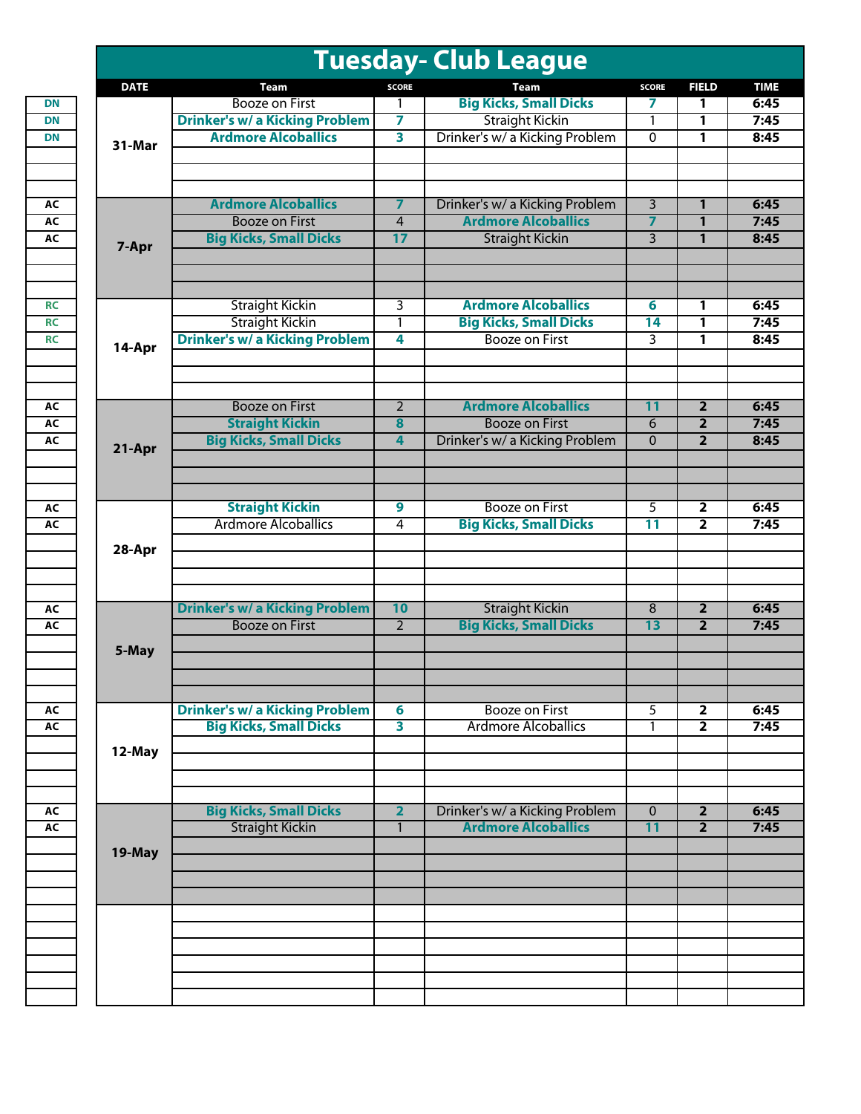| <b>DATE</b><br><b>SCORE</b><br>Team<br><b>SCORE</b><br>Team<br><b>Big Kicks, Small Dicks</b><br><b>Booze on First</b><br>7<br>1<br>1<br><b>Drinker's w/ a Kicking Problem</b><br><b>Straight Kickin</b><br>7<br>1<br>1<br><b>Ardmore Alcoballics</b><br>3<br>Drinker's w/ a Kicking Problem<br>0<br>1<br>31-Mar<br><b>Ardmore Alcoballics</b><br>$\overline{7}$<br>Drinker's w/ a Kicking Problem<br>3<br>1<br><b>Ardmore Alcoballics</b><br><b>Booze on First</b><br>$\overline{\mathbf{z}}$<br>$\overline{4}$<br>1<br><b>Big Kicks, Small Dicks</b><br>17<br>$\overline{3}$<br><b>Straight Kickin</b><br>1<br>7-Apr<br><b>Ardmore Alcoballics</b><br><b>Straight Kickin</b><br>3<br>6<br>1<br><b>Straight Kickin</b><br><b>Big Kicks, Small Dicks</b><br>14<br>1<br>1<br><b>Drinker's w/ a Kicking Problem</b><br><b>Booze on First</b><br>4<br>3<br>1<br>14-Apr<br><b>Ardmore Alcoballics</b><br><b>Booze on First</b><br>$\overline{2}$<br>$\overline{11}$<br>$\overline{2}$<br><b>Straight Kickin</b><br><b>Booze on First</b><br>$\overline{\mathbf{8}}$<br>6<br>$\overline{2}$<br><b>Big Kicks, Small Dicks</b><br>Drinker's w/ a Kicking Problem<br>$\mathbf 0$<br>$\overline{2}$<br>$\overline{4}$<br>21-Apr<br><b>Straight Kickin</b><br><b>Booze on First</b><br>$\overline{9}$<br>5<br>$\overline{\mathbf{2}}$<br><b>Ardmore Alcoballics</b><br><b>Big Kicks, Small Dicks</b><br>$\overline{11}$<br>$\overline{4}$<br>$\overline{2}$<br>28-Apr<br><b>Drinker's w/ a Kicking Problem</b><br>10<br><b>Straight Kickin</b><br>8<br>$\overline{\mathbf{2}}$<br><b>Big Kicks, Small Dicks</b><br>$\overline{2}$<br><b>Booze on First</b><br>13<br>$\overline{2}$<br>5-May<br><b>Drinker's w/ a Kicking Problem</b><br><b>Booze on First</b><br>5<br>$6\phantom{1}6$<br>$\overline{\mathbf{2}}$<br><b>Big Kicks, Small Dicks</b><br>$\overline{\mathbf{3}}$<br><b>Ardmore Alcoballics</b><br>$\overline{2}$<br>1<br>12-May<br><b>Big Kicks, Small Dicks</b><br>$\overline{\mathbf{2}}$<br>Drinker's w/ a Kicking Problem<br>$\mathbf{0}$<br>$\overline{\mathbf{2}}$<br><b>Straight Kickin</b><br><b>Ardmore Alcoballics</b><br>11<br>$\overline{2}$<br>$\mathbf{1}$<br>19-May |  | <b>Tuesday- Club League</b> |              |
|-------------------------------------------------------------------------------------------------------------------------------------------------------------------------------------------------------------------------------------------------------------------------------------------------------------------------------------------------------------------------------------------------------------------------------------------------------------------------------------------------------------------------------------------------------------------------------------------------------------------------------------------------------------------------------------------------------------------------------------------------------------------------------------------------------------------------------------------------------------------------------------------------------------------------------------------------------------------------------------------------------------------------------------------------------------------------------------------------------------------------------------------------------------------------------------------------------------------------------------------------------------------------------------------------------------------------------------------------------------------------------------------------------------------------------------------------------------------------------------------------------------------------------------------------------------------------------------------------------------------------------------------------------------------------------------------------------------------------------------------------------------------------------------------------------------------------------------------------------------------------------------------------------------------------------------------------------------------------------------------------------------------------------------------------------------------------------------------------------------------------------------------------------------------------------------|--|-----------------------------|--------------|
|                                                                                                                                                                                                                                                                                                                                                                                                                                                                                                                                                                                                                                                                                                                                                                                                                                                                                                                                                                                                                                                                                                                                                                                                                                                                                                                                                                                                                                                                                                                                                                                                                                                                                                                                                                                                                                                                                                                                                                                                                                                                                                                                                                                     |  |                             | <b>FIELD</b> |
|                                                                                                                                                                                                                                                                                                                                                                                                                                                                                                                                                                                                                                                                                                                                                                                                                                                                                                                                                                                                                                                                                                                                                                                                                                                                                                                                                                                                                                                                                                                                                                                                                                                                                                                                                                                                                                                                                                                                                                                                                                                                                                                                                                                     |  |                             |              |
|                                                                                                                                                                                                                                                                                                                                                                                                                                                                                                                                                                                                                                                                                                                                                                                                                                                                                                                                                                                                                                                                                                                                                                                                                                                                                                                                                                                                                                                                                                                                                                                                                                                                                                                                                                                                                                                                                                                                                                                                                                                                                                                                                                                     |  |                             |              |
|                                                                                                                                                                                                                                                                                                                                                                                                                                                                                                                                                                                                                                                                                                                                                                                                                                                                                                                                                                                                                                                                                                                                                                                                                                                                                                                                                                                                                                                                                                                                                                                                                                                                                                                                                                                                                                                                                                                                                                                                                                                                                                                                                                                     |  |                             |              |
|                                                                                                                                                                                                                                                                                                                                                                                                                                                                                                                                                                                                                                                                                                                                                                                                                                                                                                                                                                                                                                                                                                                                                                                                                                                                                                                                                                                                                                                                                                                                                                                                                                                                                                                                                                                                                                                                                                                                                                                                                                                                                                                                                                                     |  |                             |              |
|                                                                                                                                                                                                                                                                                                                                                                                                                                                                                                                                                                                                                                                                                                                                                                                                                                                                                                                                                                                                                                                                                                                                                                                                                                                                                                                                                                                                                                                                                                                                                                                                                                                                                                                                                                                                                                                                                                                                                                                                                                                                                                                                                                                     |  |                             |              |
|                                                                                                                                                                                                                                                                                                                                                                                                                                                                                                                                                                                                                                                                                                                                                                                                                                                                                                                                                                                                                                                                                                                                                                                                                                                                                                                                                                                                                                                                                                                                                                                                                                                                                                                                                                                                                                                                                                                                                                                                                                                                                                                                                                                     |  |                             |              |
|                                                                                                                                                                                                                                                                                                                                                                                                                                                                                                                                                                                                                                                                                                                                                                                                                                                                                                                                                                                                                                                                                                                                                                                                                                                                                                                                                                                                                                                                                                                                                                                                                                                                                                                                                                                                                                                                                                                                                                                                                                                                                                                                                                                     |  |                             |              |
|                                                                                                                                                                                                                                                                                                                                                                                                                                                                                                                                                                                                                                                                                                                                                                                                                                                                                                                                                                                                                                                                                                                                                                                                                                                                                                                                                                                                                                                                                                                                                                                                                                                                                                                                                                                                                                                                                                                                                                                                                                                                                                                                                                                     |  |                             |              |
|                                                                                                                                                                                                                                                                                                                                                                                                                                                                                                                                                                                                                                                                                                                                                                                                                                                                                                                                                                                                                                                                                                                                                                                                                                                                                                                                                                                                                                                                                                                                                                                                                                                                                                                                                                                                                                                                                                                                                                                                                                                                                                                                                                                     |  |                             |              |
|                                                                                                                                                                                                                                                                                                                                                                                                                                                                                                                                                                                                                                                                                                                                                                                                                                                                                                                                                                                                                                                                                                                                                                                                                                                                                                                                                                                                                                                                                                                                                                                                                                                                                                                                                                                                                                                                                                                                                                                                                                                                                                                                                                                     |  |                             |              |
|                                                                                                                                                                                                                                                                                                                                                                                                                                                                                                                                                                                                                                                                                                                                                                                                                                                                                                                                                                                                                                                                                                                                                                                                                                                                                                                                                                                                                                                                                                                                                                                                                                                                                                                                                                                                                                                                                                                                                                                                                                                                                                                                                                                     |  |                             |              |
|                                                                                                                                                                                                                                                                                                                                                                                                                                                                                                                                                                                                                                                                                                                                                                                                                                                                                                                                                                                                                                                                                                                                                                                                                                                                                                                                                                                                                                                                                                                                                                                                                                                                                                                                                                                                                                                                                                                                                                                                                                                                                                                                                                                     |  |                             |              |
|                                                                                                                                                                                                                                                                                                                                                                                                                                                                                                                                                                                                                                                                                                                                                                                                                                                                                                                                                                                                                                                                                                                                                                                                                                                                                                                                                                                                                                                                                                                                                                                                                                                                                                                                                                                                                                                                                                                                                                                                                                                                                                                                                                                     |  |                             |              |
|                                                                                                                                                                                                                                                                                                                                                                                                                                                                                                                                                                                                                                                                                                                                                                                                                                                                                                                                                                                                                                                                                                                                                                                                                                                                                                                                                                                                                                                                                                                                                                                                                                                                                                                                                                                                                                                                                                                                                                                                                                                                                                                                                                                     |  |                             |              |
|                                                                                                                                                                                                                                                                                                                                                                                                                                                                                                                                                                                                                                                                                                                                                                                                                                                                                                                                                                                                                                                                                                                                                                                                                                                                                                                                                                                                                                                                                                                                                                                                                                                                                                                                                                                                                                                                                                                                                                                                                                                                                                                                                                                     |  |                             |              |
|                                                                                                                                                                                                                                                                                                                                                                                                                                                                                                                                                                                                                                                                                                                                                                                                                                                                                                                                                                                                                                                                                                                                                                                                                                                                                                                                                                                                                                                                                                                                                                                                                                                                                                                                                                                                                                                                                                                                                                                                                                                                                                                                                                                     |  |                             |              |
|                                                                                                                                                                                                                                                                                                                                                                                                                                                                                                                                                                                                                                                                                                                                                                                                                                                                                                                                                                                                                                                                                                                                                                                                                                                                                                                                                                                                                                                                                                                                                                                                                                                                                                                                                                                                                                                                                                                                                                                                                                                                                                                                                                                     |  |                             |              |
|                                                                                                                                                                                                                                                                                                                                                                                                                                                                                                                                                                                                                                                                                                                                                                                                                                                                                                                                                                                                                                                                                                                                                                                                                                                                                                                                                                                                                                                                                                                                                                                                                                                                                                                                                                                                                                                                                                                                                                                                                                                                                                                                                                                     |  |                             |              |
|                                                                                                                                                                                                                                                                                                                                                                                                                                                                                                                                                                                                                                                                                                                                                                                                                                                                                                                                                                                                                                                                                                                                                                                                                                                                                                                                                                                                                                                                                                                                                                                                                                                                                                                                                                                                                                                                                                                                                                                                                                                                                                                                                                                     |  |                             |              |
|                                                                                                                                                                                                                                                                                                                                                                                                                                                                                                                                                                                                                                                                                                                                                                                                                                                                                                                                                                                                                                                                                                                                                                                                                                                                                                                                                                                                                                                                                                                                                                                                                                                                                                                                                                                                                                                                                                                                                                                                                                                                                                                                                                                     |  |                             |              |
|                                                                                                                                                                                                                                                                                                                                                                                                                                                                                                                                                                                                                                                                                                                                                                                                                                                                                                                                                                                                                                                                                                                                                                                                                                                                                                                                                                                                                                                                                                                                                                                                                                                                                                                                                                                                                                                                                                                                                                                                                                                                                                                                                                                     |  |                             |              |
|                                                                                                                                                                                                                                                                                                                                                                                                                                                                                                                                                                                                                                                                                                                                                                                                                                                                                                                                                                                                                                                                                                                                                                                                                                                                                                                                                                                                                                                                                                                                                                                                                                                                                                                                                                                                                                                                                                                                                                                                                                                                                                                                                                                     |  |                             |              |
|                                                                                                                                                                                                                                                                                                                                                                                                                                                                                                                                                                                                                                                                                                                                                                                                                                                                                                                                                                                                                                                                                                                                                                                                                                                                                                                                                                                                                                                                                                                                                                                                                                                                                                                                                                                                                                                                                                                                                                                                                                                                                                                                                                                     |  |                             |              |
|                                                                                                                                                                                                                                                                                                                                                                                                                                                                                                                                                                                                                                                                                                                                                                                                                                                                                                                                                                                                                                                                                                                                                                                                                                                                                                                                                                                                                                                                                                                                                                                                                                                                                                                                                                                                                                                                                                                                                                                                                                                                                                                                                                                     |  |                             |              |
|                                                                                                                                                                                                                                                                                                                                                                                                                                                                                                                                                                                                                                                                                                                                                                                                                                                                                                                                                                                                                                                                                                                                                                                                                                                                                                                                                                                                                                                                                                                                                                                                                                                                                                                                                                                                                                                                                                                                                                                                                                                                                                                                                                                     |  |                             |              |
|                                                                                                                                                                                                                                                                                                                                                                                                                                                                                                                                                                                                                                                                                                                                                                                                                                                                                                                                                                                                                                                                                                                                                                                                                                                                                                                                                                                                                                                                                                                                                                                                                                                                                                                                                                                                                                                                                                                                                                                                                                                                                                                                                                                     |  |                             |              |
|                                                                                                                                                                                                                                                                                                                                                                                                                                                                                                                                                                                                                                                                                                                                                                                                                                                                                                                                                                                                                                                                                                                                                                                                                                                                                                                                                                                                                                                                                                                                                                                                                                                                                                                                                                                                                                                                                                                                                                                                                                                                                                                                                                                     |  |                             |              |
|                                                                                                                                                                                                                                                                                                                                                                                                                                                                                                                                                                                                                                                                                                                                                                                                                                                                                                                                                                                                                                                                                                                                                                                                                                                                                                                                                                                                                                                                                                                                                                                                                                                                                                                                                                                                                                                                                                                                                                                                                                                                                                                                                                                     |  |                             |              |
|                                                                                                                                                                                                                                                                                                                                                                                                                                                                                                                                                                                                                                                                                                                                                                                                                                                                                                                                                                                                                                                                                                                                                                                                                                                                                                                                                                                                                                                                                                                                                                                                                                                                                                                                                                                                                                                                                                                                                                                                                                                                                                                                                                                     |  |                             |              |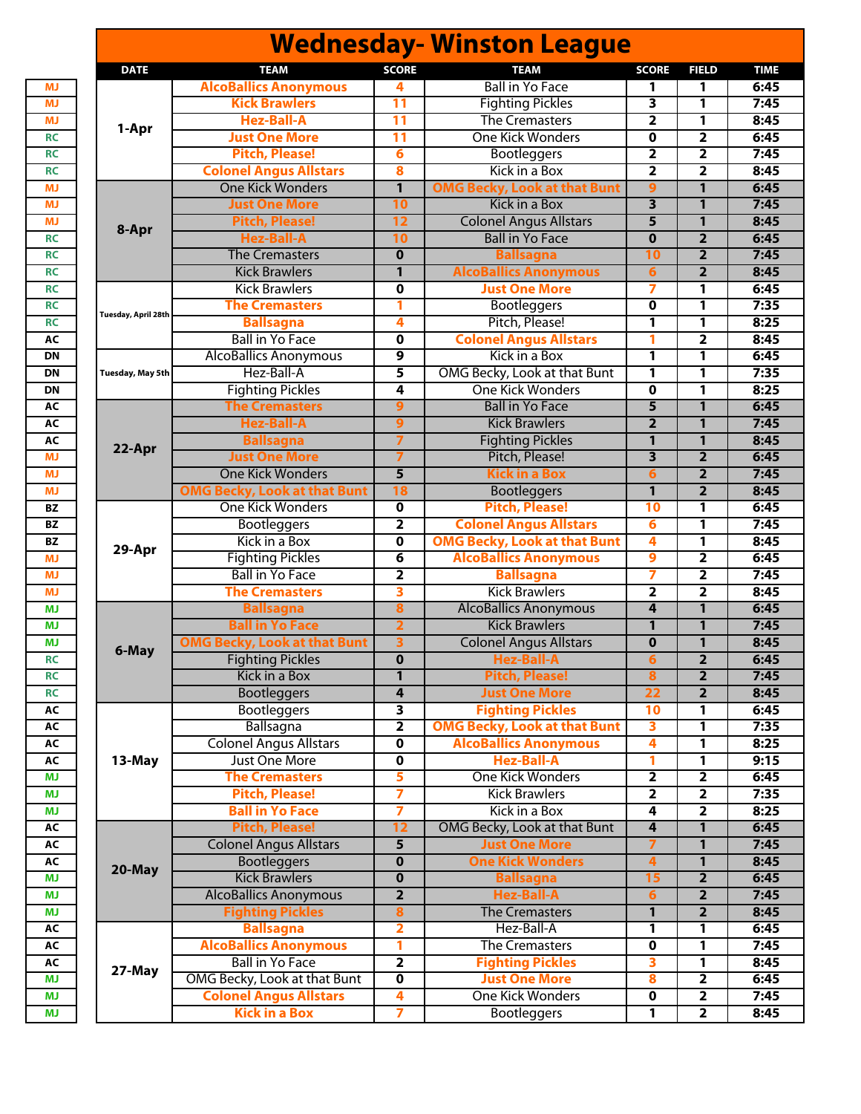|                     |                                          |                         | <b>Wednesday- Winston League</b>    |                         |                         |             |
|---------------------|------------------------------------------|-------------------------|-------------------------------------|-------------------------|-------------------------|-------------|
| <b>DATE</b>         | <b>TEAM</b>                              | <b>SCORE</b>            | <b>TEAM</b>                         | <b>SCORE</b>            | <b>FIELD</b>            | <b>TIME</b> |
|                     | <b>AlcoBallics Anonymous</b>             | 4                       | <b>Ball in Yo Face</b>              | 1                       | 1                       | 6:45        |
|                     | <b>Kick Brawlers</b>                     | 11                      | <b>Fighting Pickles</b>             | 3                       | 1                       | 7:45        |
| 1-Apr               | <b>Hez-Ball-A</b>                        | 11                      | <b>The Cremasters</b>               | $\overline{\mathbf{2}}$ | 1                       | 8:45        |
|                     | <b>Just One More</b>                     | $\overline{11}$         | <b>One Kick Wonders</b>             | 0                       | 2                       | 6:45        |
|                     | <b>Pitch, Please!</b>                    | $6\phantom{1}6$         | <b>Bootleggers</b>                  | $\overline{2}$          | $\overline{\mathbf{2}}$ | 7:45        |
|                     | <b>Colonel Angus Allstars</b>            | 8                       | Kick in a Box                       | $\overline{2}$          | $\overline{\mathbf{2}}$ | 8:45        |
|                     | <b>One Kick Wonders</b>                  | 1                       | <b>OMG Becky, Look at that Bunt</b> | 9                       | 1                       | 6:45        |
|                     | <b>Just One More</b>                     | 10                      | Kick in a Box                       | 3                       | $\mathbf{1}$            | 7:45        |
|                     | <b>Pitch, Please!</b>                    | 12                      | <b>Colonel Angus Allstars</b>       | 5                       | $\mathbf{1}$            | 8:45        |
| 8-Apr               | <b>Hez-Ball-A</b>                        | 10                      | <b>Ball in Yo Face</b>              | $\bf{0}$                | $\overline{2}$          | 6:45        |
|                     | <b>The Cremasters</b>                    | $\mathbf 0$             | <b>Ballsagna</b>                    | 10                      | $\overline{2}$          | 7:45        |
|                     | <b>Kick Brawlers</b>                     | 1                       | <b>AlcoBallics Anonymous</b>        | 6                       | $\overline{2}$          | 8:45        |
|                     | <b>Kick Brawlers</b>                     | $\mathbf 0$             | <b>Just One More</b>                | 7                       | 1                       | 6:45        |
|                     | <b>The Cremasters</b>                    | 1                       | Bootleggers                         | 0                       | 1                       | 7:35        |
| Tuesday, April 28th | <b>Ballsagna</b>                         | 4                       | Pitch, Please!                      | 1                       | 1                       | 8:25        |
|                     | <b>Ball in Yo Face</b>                   | $\mathbf 0$             | <b>Colonel Angus Allstars</b>       | 1                       | $\overline{2}$          | 8:45        |
|                     | <b>AlcoBallics Anonymous</b>             | 9                       | Kick in a Box                       | 1                       | 1                       | 6:45        |
| Tuesday, May 5th    | Hez-Ball-A                               | 5                       | OMG Becky, Look at that Bunt        | 1                       | 1                       | 7:35        |
|                     | <b>Fighting Pickles</b>                  | 4                       | One Kick Wonders                    | $\mathbf 0$             | 1                       | 8:25        |
|                     | <b>The Cremasters</b>                    | 9                       | <b>Ball in Yo Face</b>              | $\overline{5}$          | $\mathbf{1}$            | 6:45        |
|                     | <b>Hez-Ball-A</b>                        | $\overline{9}$          | <b>Kick Brawlers</b>                | $\overline{2}$          | $\mathbf{1}$            | 7:45        |
|                     |                                          | 7                       | <b>Fighting Pickles</b>             | $\mathbf{1}$            | 1                       | 8:45        |
| 22-Apr              | <b>Ballsagna</b><br><b>Just One More</b> |                         |                                     | $\overline{\mathbf{3}}$ | $\overline{2}$          | 6:45        |
|                     |                                          | 7                       | Pitch, Please!                      |                         |                         |             |
|                     | <b>One Kick Wonders</b>                  | 5                       | <b>Kick in a Box</b>                | $6\phantom{1}6$         | $\overline{2}$          | 7:45        |
|                     | <b>OMG Becky, Look at that Bunt</b>      | 18                      | <b>Bootleggers</b>                  | 1                       | $\overline{2}$          | 8:45        |
|                     | <b>One Kick Wonders</b>                  | $\overline{\mathbf{0}}$ | <b>Pitch, Please!</b>               | 10                      | 1                       | 6:45        |
|                     | <b>Bootleggers</b>                       | $\overline{\mathbf{2}}$ | <b>Colonel Angus Allstars</b>       | 6                       | 1                       | 7:45        |
| 29-Apr              | Kick in a Box                            | $\mathbf 0$             | <b>OMG Becky, Look at that Bunt</b> | 4                       | 1                       | 8:45        |
|                     | <b>Fighting Pickles</b>                  | $\overline{\mathbf{6}}$ | <b>AlcoBallics Anonymous</b>        | 9                       | 2                       | 6:45        |
|                     | <b>Ball in Yo Face</b>                   | $\mathbf{2}$            | <b>Ballsagna</b>                    | 7                       | $\overline{\mathbf{2}}$ | 7:45        |
|                     | <b>The Cremasters</b>                    | 3                       | <b>Kick Brawlers</b>                | $\overline{\mathbf{2}}$ | $\overline{\mathbf{2}}$ | 8:45        |
|                     | <b>Ballsagna</b>                         | 8                       | <b>AlcoBallics Anonymous</b>        | $\overline{\mathbf{4}}$ | 1                       | 6:45        |
|                     | <b>Ball in Yo Face</b>                   | $\overline{2}$          | <b>Kick Brawlers</b>                | $\mathbf{1}$            | $\mathbf{1}$            | 7:45        |
| 6-May               | <b>OMG Becky, Look at that Bunt</b>      | $\overline{\mathbf{3}}$ | <b>Colonel Angus Allstars</b>       | $\mathbf 0$             | $\mathbf{1}$            | 8:45        |
|                     | <b>Fighting Pickles</b>                  | $\overline{\mathbf{0}}$ | Hez-Ball-A                          | o                       | $\mathbf{z}$            | 6:45        |
|                     | <b>Kick in a Box</b>                     | $\mathbf{1}$            | <b>Pitch, Please!</b>               | $\overline{\mathbf{8}}$ | $\overline{2}$          | 7:45        |
|                     | <b>Bootleggers</b>                       | $\overline{\mathbf{4}}$ | <b>Just One More</b>                | $\overline{22}$         | $\overline{2}$          | 8:45        |
|                     | <b>Bootleggers</b>                       | 3                       | <b>Fighting Pickles</b>             | 10                      | 1                       | 6:45        |
|                     | Ballsagna                                | $\overline{\mathbf{2}}$ | <b>OMG Becky, Look at that Bunt</b> | 3                       | 1                       | 7:35        |
|                     | <b>Colonel Angus Allstars</b>            | $\mathbf 0$             | <b>AlcoBallics Anonymous</b>        | 4                       | 1                       | 8:25        |
| 13-May              | Just One More                            | $\mathbf 0$             | <b>Hez-Ball-A</b>                   | 1                       | 1                       | 9:15        |
|                     | <b>The Cremasters</b>                    | 5                       | <b>One Kick Wonders</b>             | $\overline{\mathbf{2}}$ | $\overline{2}$          | 6:45        |
|                     | <b>Pitch, Please!</b>                    | 7                       | <b>Kick Brawlers</b>                | $\mathbf{2}$            | $\overline{\mathbf{2}}$ | 7:35        |
|                     | <b>Ball in Yo Face</b>                   | $\overline{7}$          | Kick in a Box                       | 4                       | $\overline{2}$          | 8:25        |
|                     | <b>Pitch, Please!</b>                    | 12                      | OMG Becky, Look at that Bunt        | 4                       | 1                       | 6:45        |
|                     | <b>Colonel Angus Allstars</b>            | $\overline{\mathbf{5}}$ | <b>Just One More</b>                | $\overline{7}$          | $\mathbf{1}$            | 7:45        |
|                     | <b>Bootleggers</b>                       | $\overline{\mathbf{0}}$ | <b>One Kick Wonders</b>             | $\overline{4}$          | $\mathbf{1}$            | 8:45        |
| 20-May              | <b>Kick Brawlers</b>                     | $\overline{\mathbf{0}}$ | <b>Ballsagna</b>                    | 15                      | $\overline{2}$          | 6:45        |
|                     | <b>AlcoBallics Anonymous</b>             | $\overline{2}$          | <b>Hez-Ball-A</b>                   | $6\phantom{1}$          | $\overline{2}$          | 7:45        |
|                     | <b>Fighting Pickles</b>                  | 8                       | <b>The Cremasters</b>               | $\mathbf{1}$            | $\overline{2}$          | 8:45        |
|                     | <b>Ballsagna</b>                         | 2                       | Hez-Ball-A                          | 1                       | 1                       | 6:45        |
|                     | <b>AlcoBallics Anonymous</b>             | 1                       | <b>The Cremasters</b>               | $\mathbf 0$             | 1                       | 7:45        |
|                     | <b>Ball in Yo Face</b>                   | $\overline{\mathbf{2}}$ | <b>Fighting Pickles</b>             | 3                       | 1                       | 8:45        |
| 27-May              | OMG Becky, Look at that Bunt             | $\overline{\mathbf{0}}$ | <b>Just One More</b>                | 8                       | 2                       | 6:45        |
|                     | <b>Colonel Angus Allstars</b>            | 4                       | <b>One Kick Wonders</b>             | $\mathbf 0$             | $\overline{2}$          | 7:45        |
|                     | <b>Kick in a Box</b>                     | 7                       | <b>Bootleggers</b>                  | 1                       | $\overline{\mathbf{2}}$ | 8:45        |
|                     |                                          |                         |                                     |                         |                         |             |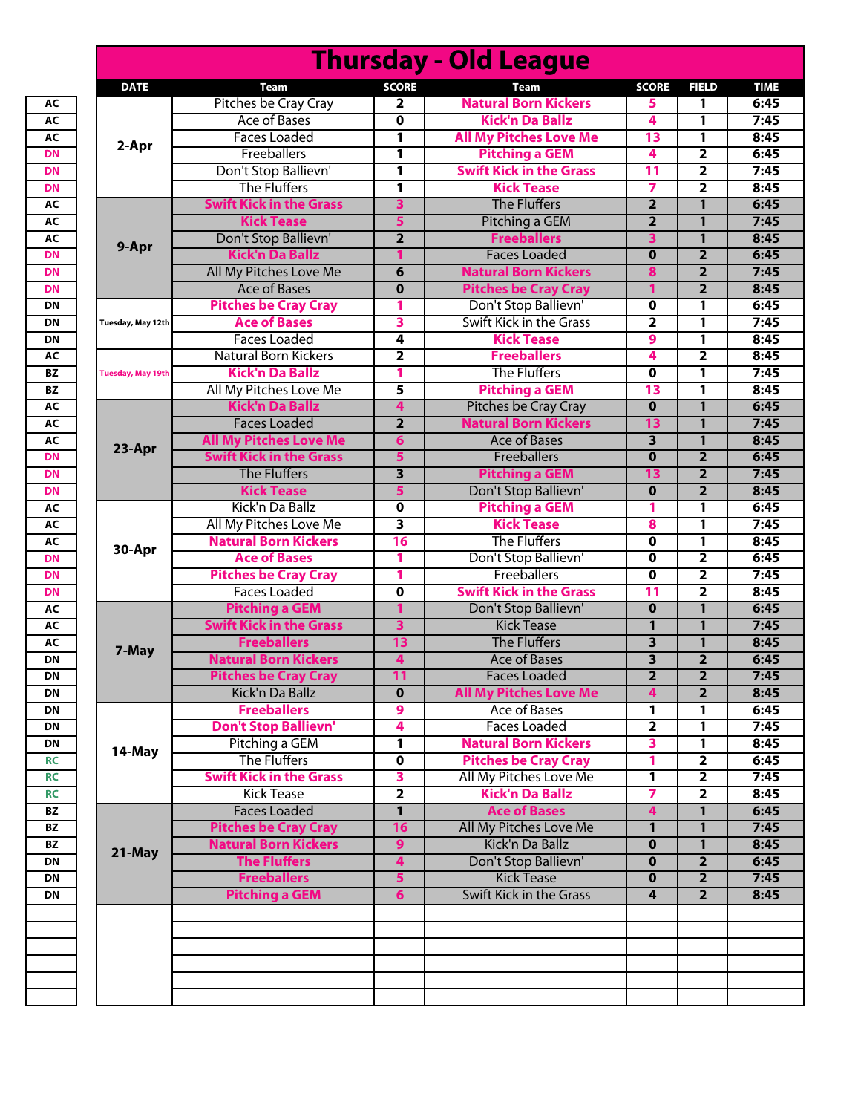|                          |                                       |                               | <b>Thursday - Old League</b>                          |                                           |                                  |
|--------------------------|---------------------------------------|-------------------------------|-------------------------------------------------------|-------------------------------------------|----------------------------------|
| <b>DATE</b>              | <b>Team</b>                           | <b>SCORE</b>                  | Team                                                  | <b>SCORE</b>                              | <b>FIELD</b>                     |
|                          | Pitches be Cray Cray                  | 2                             | <b>Natural Born Kickers</b>                           | 5                                         | 1                                |
|                          | Ace of Bases                          | $\mathbf{o}$                  | <b>Kick'n Da Ballz</b>                                | 4                                         | $\mathbf{1}$                     |
|                          | <b>Faces Loaded</b>                   | 1                             | <b>All My Pitches Love Me</b>                         | 13                                        | 1                                |
| 2-Apr                    | <b>Freeballers</b>                    | 1                             | <b>Pitching a GEM</b>                                 | 4                                         | $\overline{2}$                   |
|                          | Don't Stop Ballievn'                  | 1                             | <b>Swift Kick in the Grass</b>                        | 11                                        | $\overline{2}$                   |
|                          | <b>The Fluffers</b>                   | 1                             | <b>Kick Tease</b>                                     | $\overline{\mathbf{z}}$                   | $\overline{2}$                   |
|                          | <b>Swift Kick in the Grass</b>        | 3                             | <b>The Fluffers</b>                                   | $\overline{2}$                            | $\mathbf{1}$                     |
|                          | <b>Kick Tease</b>                     | 5                             | Pitching a GEM                                        | $\overline{2}$                            | $\mathbf{1}$                     |
|                          | Don't Stop Ballievn'                  | $\overline{2}$                | <b>Freeballers</b>                                    | 3                                         | $\mathbf{1}$                     |
| 9-Apr                    | <b>Kick'n Da Ballz</b>                |                               | <b>Faces Loaded</b>                                   | $\overline{\mathbf{0}}$                   | $\overline{2}$                   |
|                          | All My Pitches Love Me                | 6                             | <b>Natural Born Kickers</b>                           | 8                                         | $\overline{2}$                   |
|                          | <b>Ace of Bases</b>                   | $\mathbf{0}$                  | <b>Pitches be Cray Cray</b>                           | 1                                         | $\overline{2}$                   |
|                          | <b>Pitches be Cray Cray</b>           | 1                             | Don't Stop Ballievn'                                  | $\overline{\mathbf{o}}$                   | 1                                |
| Tuesday, May 12th        | <b>Ace of Bases</b>                   | 3                             | <b>Swift Kick in the Grass</b>                        | $\overline{\mathbf{2}}$                   | 1                                |
|                          | <b>Faces Loaded</b>                   | 4                             | <b>Kick Tease</b>                                     | 9                                         | 1                                |
|                          | <b>Natural Born Kickers</b>           | 2                             | <b>Freeballers</b>                                    | 4                                         | $\overline{2}$                   |
| <b>Tuesday, May 19th</b> | <b>Kick'n Da Ballz</b>                | 1                             | <b>The Fluffers</b>                                   | $\mathbf 0$                               | 1                                |
|                          | All My Pitches Love Me                | 5                             | <b>Pitching a GEM</b>                                 | 13                                        | 1                                |
|                          | <b>Kick'n Da Ballz</b>                | 4                             | Pitches be Cray Cray                                  | $\mathbf 0$                               | $\mathbf{1}$                     |
|                          | <b>Faces Loaded</b>                   | $\overline{\mathbf{2}}$       | <b>Natural Born Kickers</b>                           | 13                                        | $\mathbf{1}$                     |
|                          | <b>All My Pitches Love Me</b>         | 6                             | <b>Ace of Bases</b>                                   | $\overline{\mathbf{3}}$                   | $\mathbf{1}$                     |
| 23-Apr                   | <b>Swift Kick in the Grass</b>        | 5                             | Freeballers                                           | $\mathbf 0$                               | $\overline{2}$                   |
|                          | <b>The Fluffers</b>                   | $\overline{\mathbf{3}}$       | <b>Pitching a GEM</b>                                 | 13                                        | $\overline{2}$                   |
|                          | <b>Kick Tease</b>                     | 5                             | Don't Stop Ballievn'                                  | $\mathbf 0$                               | $\overline{2}$                   |
|                          | Kick'n Da Ballz                       | 0                             | <b>Pitching a GEM</b>                                 | 1                                         | 1                                |
|                          | All My Pitches Love Me                | 3                             | <b>Kick Tease</b>                                     | 8                                         | 1                                |
|                          | <b>Natural Born Kickers</b>           | 16                            | <b>The Fluffers</b>                                   | $\mathbf 0$                               | $\mathbf{1}$                     |
| 30-Apr                   | <b>Ace of Bases</b>                   | 1                             | Don't Stop Ballievn'                                  | $\mathbf 0$                               | $\overline{\mathbf{2}}$          |
|                          | <b>Pitches be Cray Cray</b>           | 1                             | Freeballers                                           | 0                                         | $\overline{\mathbf{2}}$          |
|                          | <b>Faces Loaded</b>                   | $\mathbf 0$                   | <b>Swift Kick in the Grass</b>                        | 11                                        | $\overline{2}$                   |
|                          | <b>Pitching a GEM</b>                 | 1                             | Don't Stop Ballievn'                                  | $\mathbf 0$                               | $\mathbf{1}$                     |
|                          | <b>Swift Kick in the Grass</b>        | 3                             | <b>Kick Tease</b>                                     | $\mathbf{1}$                              | $\mathbf{1}$                     |
|                          | <b>Freeballers</b>                    |                               | <b>The Fluffers</b>                                   |                                           | $\mathbf{1}$                     |
| 7-May                    | <b>Natural Born Kickers</b>           | 13<br>4                       | <b>Ace of Bases</b>                                   | 3<br>$\overline{\mathbf{3}}$              | $\overline{2}$                   |
|                          |                                       |                               |                                                       |                                           |                                  |
|                          | <b>Pitches be Cray Cray</b>           | 11<br>$\overline{\mathbf{0}}$ | <b>Faces Loaded</b><br><b>All My Pitches Love Me</b>  | $\mathbf{2}$<br>$\overline{\mathbf{4}}$   | $\overline{2}$<br>$\overline{2}$ |
|                          | Kick'n Da Ballz<br><b>Freeballers</b> |                               | Ace of Bases                                          |                                           |                                  |
|                          | <b>Don't Stop Ballievn'</b>           | 9<br>4                        | <b>Faces Loaded</b>                                   | $\mathbf{1}$<br>$\overline{2}$            | 1<br>1                           |
|                          |                                       |                               | <b>Natural Born Kickers</b>                           |                                           |                                  |
| 14-May                   | Pitching a GEM<br><b>The Fluffers</b> | 1                             |                                                       | 3                                         | 1                                |
|                          | <b>Swift Kick in the Grass</b>        | $\mathbf 0$                   | <b>Pitches be Cray Cray</b><br>All My Pitches Love Me | 1                                         | $\overline{2}$                   |
|                          | <b>Kick Tease</b>                     | 3                             | <b>Kick'n Da Ballz</b>                                | $\mathbf{1}$                              | $\overline{2}$                   |
|                          | <b>Faces Loaded</b>                   | $\overline{2}$                | <b>Ace of Bases</b>                                   | $\overline{ }$<br>$\overline{\mathbf{4}}$ | $\overline{2}$                   |
|                          |                                       | 1                             | All My Pitches Love Me                                |                                           | $\mathbf{1}$                     |
|                          | <b>Pitches be Cray Cray</b>           | 16                            | Kick'n Da Ballz                                       | $\mathbf{1}$                              | $\mathbf{1}$                     |
| 21-May                   | <b>Natural Born Kickers</b>           | 9                             |                                                       | $\mathbf 0$                               | $\mathbf{1}$                     |
|                          | <b>The Fluffers</b>                   | 4                             | Don't Stop Ballievn'                                  | $\mathbf 0$                               | $\overline{2}$                   |
|                          | <b>Freeballers</b>                    | 5                             | <b>Kick Tease</b>                                     | $\mathbf 0$                               | $\overline{2}$                   |
|                          | <b>Pitching a GEM</b>                 | $6\phantom{1}$                | <b>Swift Kick in the Grass</b>                        | 4                                         | $\overline{2}$                   |
|                          |                                       |                               |                                                       |                                           |                                  |
|                          |                                       |                               |                                                       |                                           |                                  |
|                          |                                       |                               |                                                       |                                           |                                  |
|                          |                                       |                               |                                                       |                                           |                                  |
|                          |                                       |                               |                                                       |                                           |                                  |
|                          |                                       |                               |                                                       |                                           |                                  |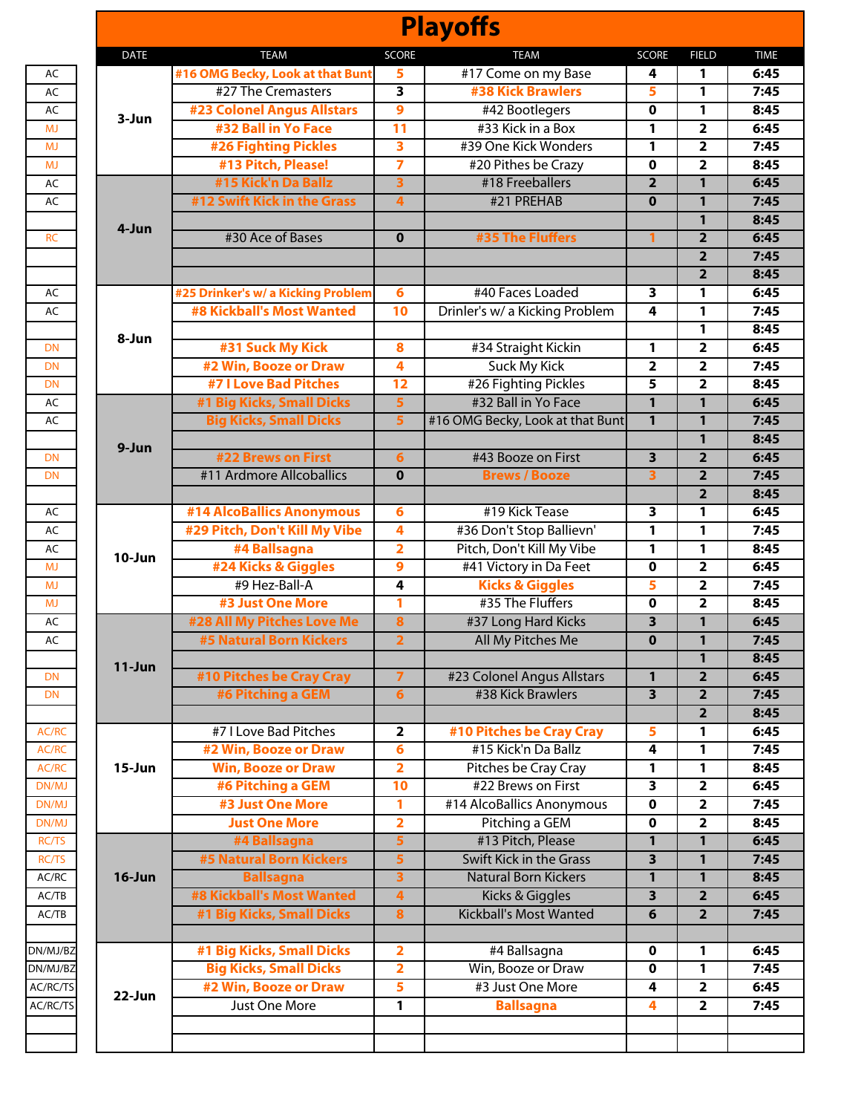|             |                                    |                         | <b>Playoffs</b>                  |                         |                     |              |
|-------------|------------------------------------|-------------------------|----------------------------------|-------------------------|---------------------|--------------|
| <b>DATE</b> | <b>TEAM</b>                        | <b>SCORE</b>            | <b>TEAM</b>                      | <b>SCORE</b>            | <b>FIELD</b>        | <b>TIME</b>  |
|             | #16 OMG Becky, Look at that Bunt   | 5                       | #17 Come on my Base              | 4                       | 1                   | 6:45         |
|             | #27 The Cremasters                 | 3                       | <b>#38 Kick Brawlers</b>         | 5                       | 1                   | 7:45         |
| 3-Jun       | <b>#23 Colonel Angus Allstars</b>  | 9                       | #42 Bootlegers                   | $\mathbf 0$             | 1                   | 8:45         |
|             | #32 Ball in Yo Face                | $\overline{11}$         | #33 Kick in a Box                | 1                       | 2                   | 6:45         |
|             | <b>#26 Fighting Pickles</b>        | $\overline{\mathbf{3}}$ | #39 One Kick Wonders             | 1                       | 2                   | 7:45         |
|             | #13 Pitch, Please!                 | $\overline{7}$          | #20 Pithes be Crazy              | $\mathbf 0$             | 2                   | 8:45         |
|             | #15 Kick'n Da Ballz                | $\overline{\mathbf{3}}$ | #18 Freeballers                  | $\overline{2}$          | $\mathbf{1}$        | 6:45         |
|             | #12 Swift Kick in the Grass        | 4                       | #21 PREHAB                       | $\bf{0}$                | 1                   | 7:45         |
| 4-Jun       |                                    |                         |                                  |                         | $\mathbf{1}$        | 8:45         |
|             | #30 Ace of Bases                   | $\mathbf 0$             | #35 The Fluffers                 |                         | $\overline{2}$      | 6:45         |
|             |                                    |                         |                                  |                         | $\overline{2}$      | 7:45         |
|             |                                    |                         |                                  |                         | $\overline{2}$      | 8:45         |
|             | #25 Drinker's w/ a Kicking Problem | 6                       | #40 Faces Loaded                 | 3                       | 1                   | 6:45         |
|             | <b>#8 Kickball's Most Wanted</b>   | 10                      | Drinler's w/ a Kicking Problem   | 4                       | 1                   | 7:45         |
| 8-Jun       |                                    |                         |                                  |                         | 1                   | 8:45         |
|             | #31 Suck My Kick                   | 8                       | #34 Straight Kickin              | 1                       | $\mathbf{2}$        | 6:45         |
|             | #2 Win, Booze or Draw              | 4                       | Suck My Kick                     | $\overline{2}$          | 2                   | 7:45         |
|             | <b>#7 I Love Bad Pitches</b>       | $\overline{12}$         | #26 Fighting Pickles             | 5                       | 2                   | 8:45         |
|             | #1 Big Kicks, Small Dicks          | $\overline{\mathbf{5}}$ | #32 Ball in Yo Face              | $\overline{1}$          | $\mathbf{1}$        | 6:45         |
|             | <b>Big Kicks, Small Dicks</b>      | 5                       | #16 OMG Becky, Look at that Bunt | $\mathbf{1}$            | 1                   | 7:45         |
| 9-Jun       |                                    |                         |                                  |                         | $\mathbf{1}$        | 8:45         |
|             | #22 Brews on First                 | 6                       | #43 Booze on First               | 3                       | $\overline{2}$      | 6:45         |
|             | #11 Ardmore Allcoballics           | $\mathbf 0$             | <b>Brews / Booze</b>             | 3                       | $\overline{2}$      | 7:45         |
|             |                                    |                         |                                  |                         | $\overline{2}$      | 8:45         |
| $10 - Jun$  | #14 AlcoBallics Anonymous          | 6                       | #19 Kick Tease                   | 3                       | 1                   | 6:45         |
|             | #29 Pitch, Don't Kill My Vibe      | 4                       | #36 Don't Stop Ballievn'         | 1                       | 1                   | 7:45         |
|             | #4 Ballsagna                       | $\overline{\mathbf{2}}$ | Pitch, Don't Kill My Vibe        | 1                       | 1                   | 8:45         |
|             | #24 Kicks & Giggles                | 9                       | #41 Victory in Da Feet           | 0                       | $\mathbf{2}$        | 6:45         |
|             | #9 Hez-Ball-A                      | 4                       | <b>Kicks &amp; Giggles</b>       | 5                       | 2                   | 7:45         |
|             | #3 Just One More                   | 1                       | #35 The Fluffers                 | $\mathbf 0$             | 2                   | 8:45         |
|             | #28 All My Pitches Love Me         | $\bf{8}$                | #37 Long Hard Kicks              | 3                       | 1                   | 6:45         |
|             | <b>#5 Natural Born Kickers</b>     | $\overline{\mathbf{2}}$ | All My Pitches Me                | $\bf{0}$                | 1                   | 7:45         |
| $11-Jun$    |                                    |                         |                                  |                         | $\mathbf{1}$        | 8:45         |
|             | #10 Pitches be Cray Cray           | $\overline{7}$          | #23 Colonel Angus Allstars       | $\mathbf{1}$            | $\overline{2}$      | 6:45         |
|             | #6 Pitching a GEM                  | 6                       | #38 Kick Brawlers                | 3                       | $\overline{2}$      | 7:45         |
|             | #7 I Love Bad Pitches              | $\overline{\mathbf{2}}$ | #10 Pitches be Cray Cray         | 5                       | $\overline{2}$<br>1 | 8:45<br>6:45 |
|             | #2 Win, Booze or Draw              | 6                       | #15 Kick'n Da Ballz              | 4                       | 1                   | 7:45         |
| $15 - Jun$  | <b>Win, Booze or Draw</b>          | $\overline{\mathbf{2}}$ | Pitches be Cray Cray             | 1                       | 1                   | 8:45         |
|             | #6 Pitching a GEM                  | 10                      | #22 Brews on First               | $\overline{\mathbf{3}}$ | $\overline{2}$      | 6:45         |
|             | #3 Just One More                   | 1                       | #14 AlcoBallics Anonymous        | 0                       | $\overline{2}$      | 7:45         |
|             | <b>Just One More</b>               | $\overline{\mathbf{2}}$ | Pitching a GEM                   | $\mathbf 0$             | 2                   | 8:45         |
|             | #4 Ballsagna                       | 5                       | #13 Pitch, Please                | $\mathbf{1}$            | 1                   | 6:45         |
|             | <b>#5 Natural Born Kickers</b>     | 5                       | <b>Swift Kick in the Grass</b>   | 3                       | 1                   | 7:45         |
| $16$ -Jun   | <b>Ballsagna</b>                   | 3                       | <b>Natural Born Kickers</b>      | 1                       | 1                   | 8:45         |
|             | <b>#8 Kickball's Most Wanted</b>   | $\overline{4}$          | <b>Kicks &amp; Giggles</b>       | 3                       | $\overline{2}$      | 6:45         |
|             | #1 Big Kicks, Small Dicks          | 8                       | <b>Kickball's Most Wanted</b>    | 6                       | $\overline{2}$      | 7:45         |
|             |                                    |                         |                                  |                         |                     |              |
|             | #1 Big Kicks, Small Dicks          | 2                       | #4 Ballsagna                     | $\mathbf 0$             | 1                   | 6:45         |
|             | <b>Big Kicks, Small Dicks</b>      | 2                       | Win, Booze or Draw               | $\mathbf 0$             | 1                   | 7:45         |
|             | #2 Win, Booze or Draw              | 5                       | #3 Just One More                 | 4                       | $\overline{2}$      | 6:45         |
| 22-Jun      | <b>Just One More</b>               | $\overline{\mathbf{1}}$ | <b>Ballsagna</b>                 | 4                       | $\overline{2}$      | 7:45         |
|             |                                    |                         |                                  |                         |                     |              |
|             |                                    |                         |                                  |                         |                     |              |
|             |                                    |                         |                                  |                         |                     |              |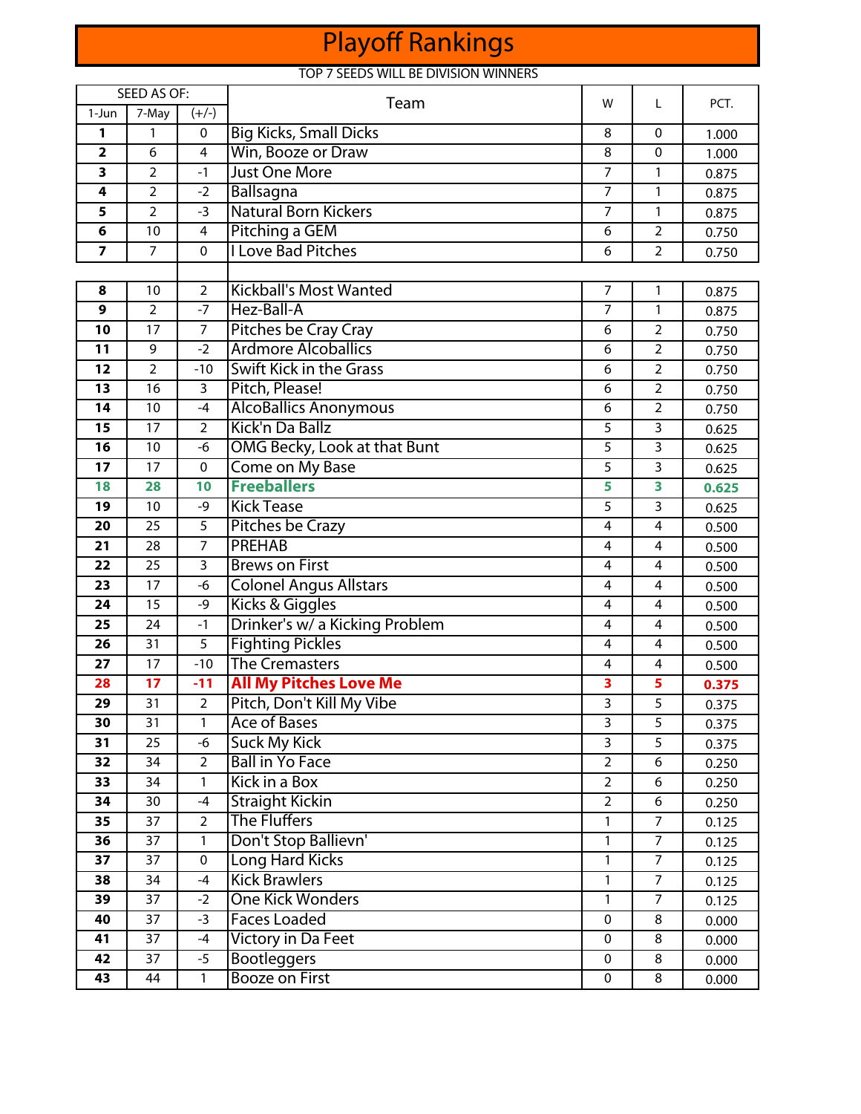# Playoff Rankings

## TOP 7 SEEDS WILL BE DIVISION WINNERS

| <b>SEED AS OF:</b>      |                |                         | Team                           |                | L                       | PCT.  |
|-------------------------|----------------|-------------------------|--------------------------------|----------------|-------------------------|-------|
| 1-Jun                   | 7-May          | $(+/-)$                 |                                |                |                         |       |
| 1                       | 1              | 0                       | <b>Big Kicks, Small Dicks</b>  | 8              | $\mathbf{0}$            | 1.000 |
| $\overline{\mathbf{2}}$ | 6              | 4                       | Win, Booze or Draw             | 8              | $\pmb{0}$               | 1.000 |
| 3                       | $\overline{2}$ | $-1$                    | <b>Just One More</b>           | $\overline{7}$ | $\mathbf{1}$            | 0.875 |
| 4                       | $\overline{2}$ | $-2$                    | Ballsagna                      | $\overline{7}$ | $\mathbf{1}$            | 0.875 |
| 5                       | 2              | $-3$                    | <b>Natural Born Kickers</b>    | $\overline{7}$ | 1                       | 0.875 |
| 6                       | 10             | $\overline{\mathbf{4}}$ | Pitching a GEM                 | 6              | $\overline{2}$          | 0.750 |
| $\overline{\mathbf{z}}$ | $\overline{7}$ | $\mathbf 0$             | <b>I Love Bad Pitches</b>      | 6              | $\overline{2}$          | 0.750 |
|                         |                |                         |                                |                |                         |       |
| 8                       | 10             | $\overline{2}$          | <b>Kickball's Most Wanted</b>  | $\overline{7}$ | $\mathbf{1}$            | 0.875 |
| 9                       | $\overline{2}$ | $-7$                    | Hez-Ball-A                     | $\overline{7}$ | $\mathbf{1}$            | 0.875 |
| 10                      | 17             | $\overline{7}$          | Pitches be Cray Cray           | 6              | $\overline{2}$          | 0.750 |
| 11                      | 9              | $-2$                    | <b>Ardmore Alcoballics</b>     | 6              | $\overline{2}$          | 0.750 |
| 12                      | $\overline{2}$ | $-10$                   | <b>Swift Kick in the Grass</b> | 6              | $\overline{2}$          | 0.750 |
| 13                      | 16             | 3                       | Pitch, Please!                 | 6              | $\overline{2}$          | 0.750 |
| 14                      | 10             | $-4$                    | <b>AlcoBallics Anonymous</b>   | 6              | $\overline{2}$          | 0.750 |
| 15                      | 17             | $\overline{2}$          | Kick'n Da Ballz                | 5              | $\overline{3}$          | 0.625 |
| 16                      | 10             | -6                      | OMG Becky, Look at that Bunt   | 5              | 3                       | 0.625 |
| 17                      | 17             | 0                       | Come on My Base                | 5              | 3                       | 0.625 |
| 18                      | 28             | 10                      | <b>Freeballers</b>             | 5              | 3                       | 0.625 |
| 19                      | 10             | -9                      | <b>Kick Tease</b>              | 5              | 3                       | 0.625 |
| 20                      | 25             | 5                       | <b>Pitches be Crazy</b>        | 4              | $\overline{\mathbf{4}}$ | 0.500 |
| 21                      | 28             | $\overline{7}$          | <b>PREHAB</b>                  | $\overline{4}$ | $\overline{4}$          | 0.500 |
| 22                      | 25             | $\overline{3}$          | <b>Brews on First</b>          | 4              | 4                       | 0.500 |
| 23                      | 17             | -6                      | <b>Colonel Angus Allstars</b>  | 4              | 4                       | 0.500 |
| 24                      | 15             | $-9$                    | Kicks & Giggles                | 4              | 4                       | 0.500 |
| 25                      | 24             | $-1$                    | Drinker's w/ a Kicking Problem | 4              | 4                       | 0.500 |
| 26                      | 31             | 5                       | <b>Fighting Pickles</b>        | 4              | 4                       | 0.500 |
| 27                      | 17             | $-10$                   | <b>The Cremasters</b>          | 4              | 4                       | 0.500 |
| 28                      | 17             | $-11$                   | <b>All My Pitches Love Me</b>  | 3              | 5                       | 0.375 |
| 29                      | 31             | $\overline{2}$          | Pitch, Don't Kill My Vibe      | 3              | 5                       | 0.375 |
| 30                      | 31             | 1                       | Ace of Bases                   | 3              | 5                       | 0.375 |
| 31                      | 25             | -6                      | <b>Suck My Kick</b>            | 3              | 5                       | 0.375 |
| 32                      | 34             | $\overline{2}$          | <b>Ball in Yo Face</b>         | $\overline{2}$ | 6                       | 0.250 |
| $\overline{33}$         | 34             | $\mathbf{1}$            | Kick in a Box                  | $\overline{2}$ | 6                       | 0.250 |
| 34                      | 30             | $-4$                    | <b>Straight Kickin</b>         | $\overline{2}$ | 6                       | 0.250 |
| 35                      | 37             | $\overline{a}$          | <b>The Fluffers</b>            | 1              | $\overline{7}$          | 0.125 |
| 36                      | 37             | 1                       | Don't Stop Ballievn'           | 1              | $\overline{7}$          | 0.125 |
| 37                      | 37             | $\mathbf 0$             | <b>Long Hard Kicks</b>         | 1              | $\overline{7}$          | 0.125 |
| 38                      | 34             | $-4$                    | <b>Kick Brawlers</b>           | 1              | $\overline{7}$          | 0.125 |
| 39                      | 37             | $-2$                    | <b>One Kick Wonders</b>        | 1              | $\overline{7}$          | 0.125 |
| 40                      | 37             | $-3$                    | <b>Faces Loaded</b>            | 0              | 8                       | 0.000 |
| 41                      | 37             | $-4$                    | Victory in Da Feet             | 0              | 8                       | 0.000 |
| 42                      | 37             | $-5$                    | <b>Bootleggers</b>             | 0              | 8                       | 0.000 |
| 43                      | 44             | 1                       | <b>Booze on First</b>          | 0              | 8                       | 0.000 |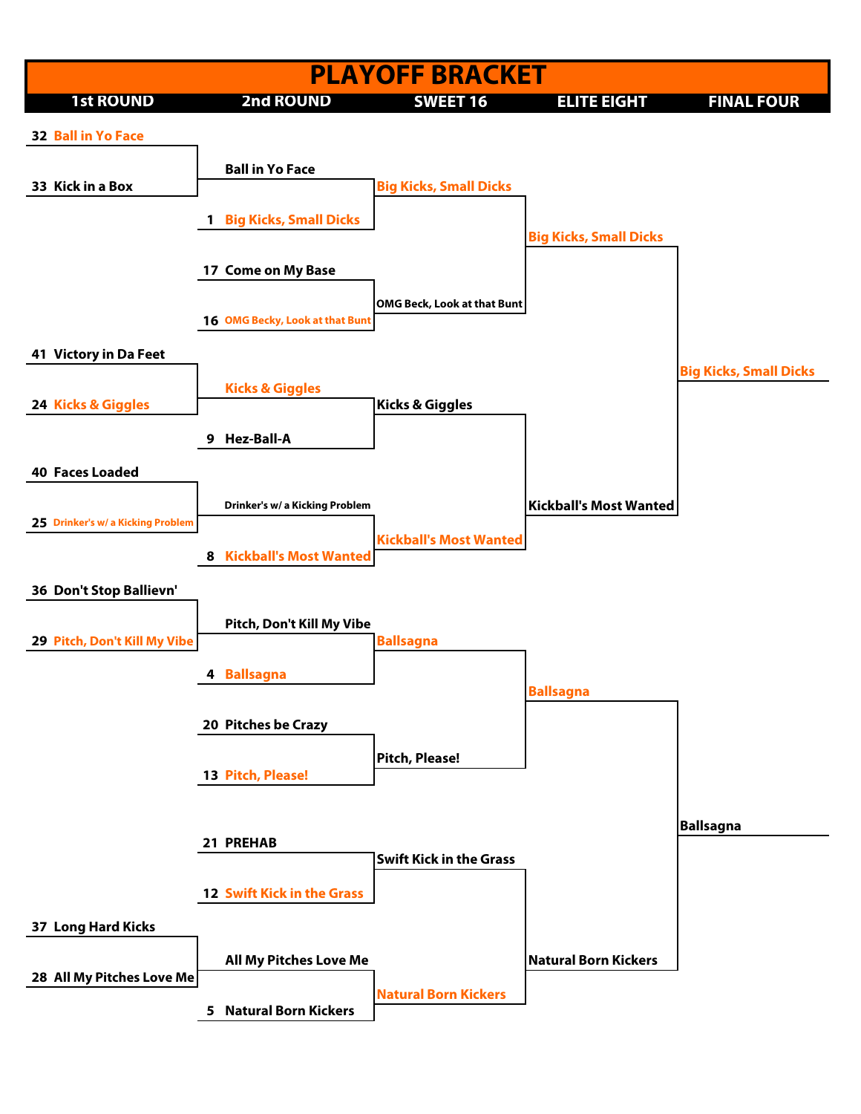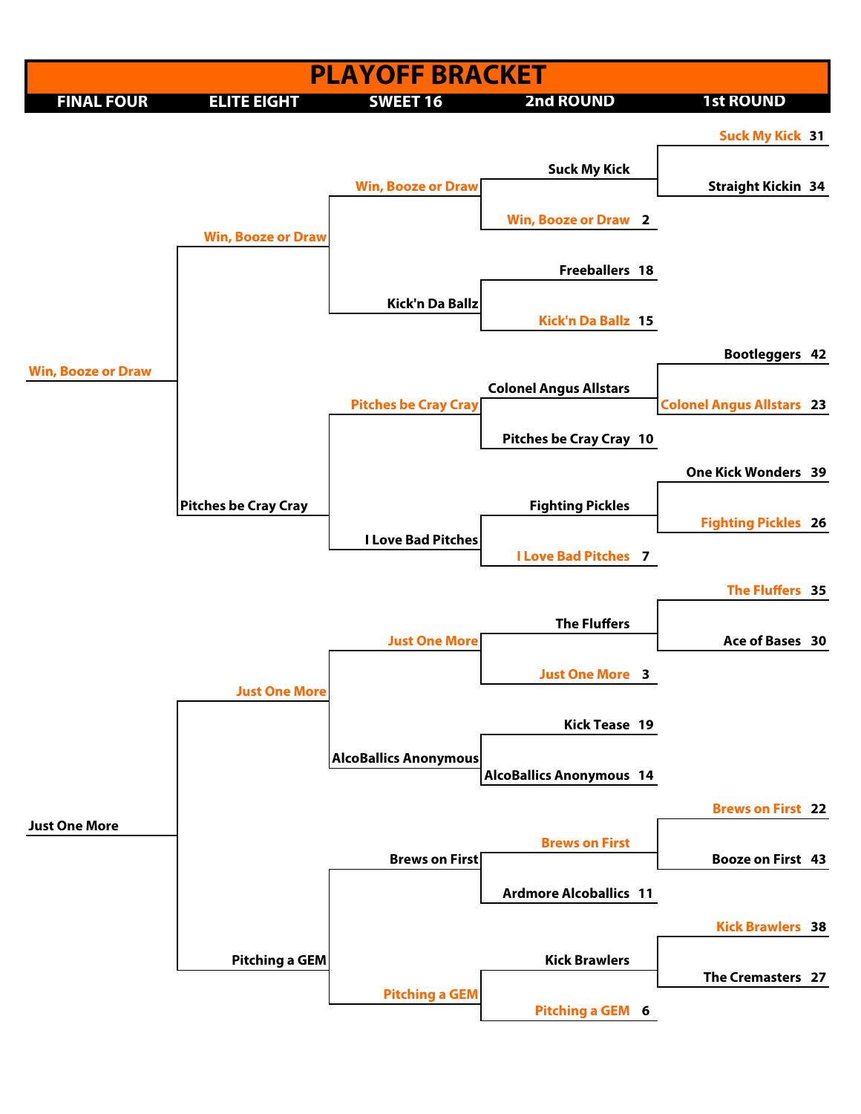